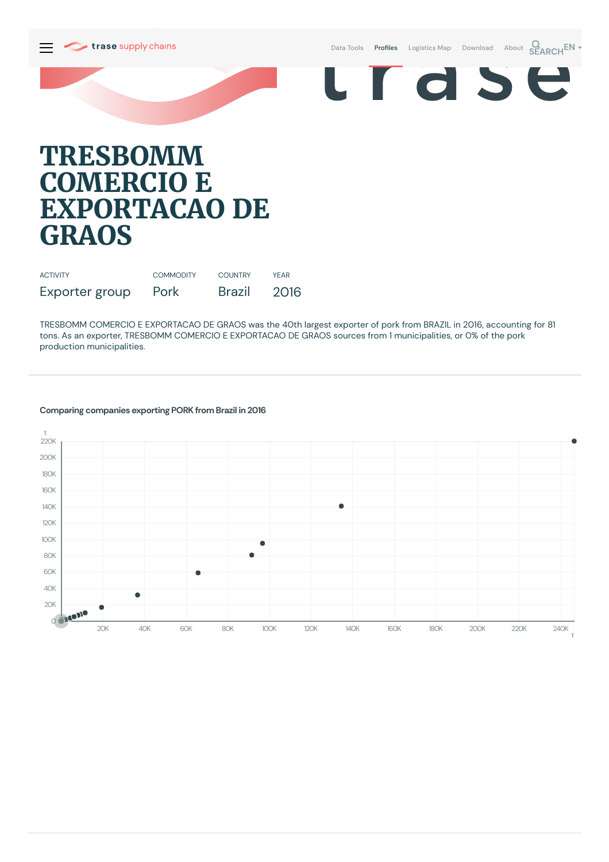

Data [Tools](https://supplychains.trase.earth/explore) Profiles [Logistics](https://supplychains.trase.earth/logistics-map) Map [Download](https://supplychains.trase.earth/data) [About](https://supplychains.trase.earth/about) **SEARCH<sup>EN</sup>** 



## **TRESBOMM COMERCIO E EXPORTACAO DE GRAOS**

| <b>ACTIVITY</b> | <b>COMMODITY</b> | <b>COUNTRY</b> | YFAR |
|-----------------|------------------|----------------|------|
| Exporter group  | Pork             | Brazil         | 2016 |

TRESBOMM COMERCIO E EXPORTACAO DE GRAOS was the 40th largest exporter of pork from BRAZIL in 2016, accounting for 81 tons. As an exporter, TRESBOMM COMERCIO E EXPORTACAO DE GRAOS sources from 1municipalities, or 0% of the pork production municipalities.



## **Comparing companies exporting PORK from Brazil in 2016**